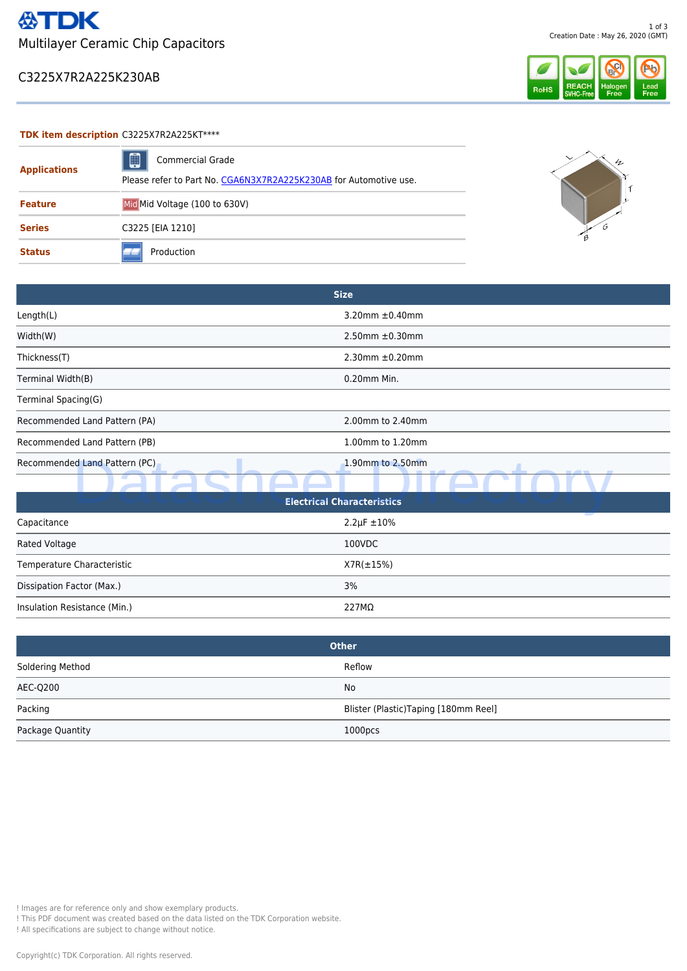### C3225X7R2A225K230AB



### **TDK item description** C3225X7R2A225KT\*\*\*\*

| <b>Applications</b> | ▣<br><b>Commercial Grade</b><br>Please refer to Part No. CGA6N3X7R2A225K230AB for Automotive use. | $4\pi$ |
|---------------------|---------------------------------------------------------------------------------------------------|--------|
|                     |                                                                                                   |        |
| <b>Feature</b>      | Mid Mid Voltage (100 to 630V)                                                                     |        |
| <b>Series</b>       | C3225 [EIA 1210]                                                                                  |        |
| <b>Status</b>       | Production                                                                                        |        |

|                               | <b>Size</b>             |
|-------------------------------|-------------------------|
| Length(L)                     | 3.20mm $\pm$ 0.40mm     |
| Width(W)                      | $2.50$ mm $\pm 0.30$ mm |
| Thickness(T)                  | $2.30$ mm $\pm 0.20$ mm |
| Terminal Width(B)             | 0.20mm Min.             |
| Terminal Spacing(G)           |                         |
| Recommended Land Pattern (PA) | 2.00mm to 2.40mm        |
| Recommended Land Pattern (PB) | 1.00mm to 1.20mm        |
| Recommended Land Pattern (PC) | 1.90mm to 2.50mm<br>--  |
|                               |                         |

| Recommended Land Pattern (PC)                                                                                                                                                                                          | 1.90mm to 2.50mm                     |  |  |  |
|------------------------------------------------------------------------------------------------------------------------------------------------------------------------------------------------------------------------|--------------------------------------|--|--|--|
|                                                                                                                                                                                                                        |                                      |  |  |  |
| <b>Electrical Characteristics</b>                                                                                                                                                                                      |                                      |  |  |  |
| Capacitance                                                                                                                                                                                                            | $2.2 \mu F \pm 10\%$                 |  |  |  |
| Rated Voltage                                                                                                                                                                                                          | 100VDC                               |  |  |  |
| Temperature Characteristic                                                                                                                                                                                             | $X7R(\pm 15\%)$                      |  |  |  |
| Dissipation Factor (Max.)                                                                                                                                                                                              | 3%                                   |  |  |  |
| Insulation Resistance (Min.)                                                                                                                                                                                           | 227MΩ                                |  |  |  |
|                                                                                                                                                                                                                        | <b>Other</b>                         |  |  |  |
| Soldering Method                                                                                                                                                                                                       | Reflow                               |  |  |  |
| <b>AEC-Q200</b>                                                                                                                                                                                                        | No                                   |  |  |  |
| Packing                                                                                                                                                                                                                | Blister (Plastic)Taping [180mm Reel] |  |  |  |
| Package Quantity                                                                                                                                                                                                       | 1000pcs                              |  |  |  |
|                                                                                                                                                                                                                        |                                      |  |  |  |
|                                                                                                                                                                                                                        |                                      |  |  |  |
|                                                                                                                                                                                                                        |                                      |  |  |  |
|                                                                                                                                                                                                                        |                                      |  |  |  |
|                                                                                                                                                                                                                        |                                      |  |  |  |
|                                                                                                                                                                                                                        |                                      |  |  |  |
|                                                                                                                                                                                                                        |                                      |  |  |  |
|                                                                                                                                                                                                                        |                                      |  |  |  |
| ! Images are for reference only and show exemplary products.<br>! This PDF document was created based on the data listed on the TDK Corporation website.<br>! All specifications are subject to change without notice. |                                      |  |  |  |
| Copyright(c) TDK Corporation. All rights reserved.                                                                                                                                                                     |                                      |  |  |  |

| <b>Other</b>     |                                      |
|------------------|--------------------------------------|
| Soldering Method | Reflow                               |
| AEC-Q200         | No                                   |
| Packing          | Blister (Plastic)Taping [180mm Reel] |
| Package Quantity | 1000 <sub>DCS</sub>                  |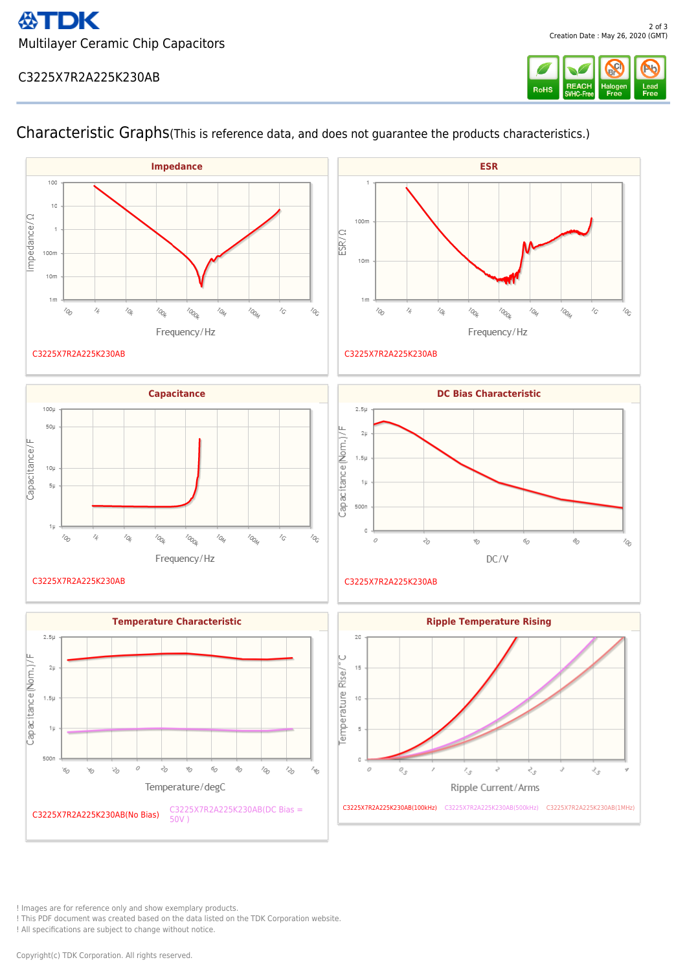## C3225X7R2A225K230AB







C3225X7R2A225K230AB

Characteristic Graphs(This is reference data, and does not guarantee the products characteristics.)











! Images are for reference only and show exemplary products.

! This PDF document was created based on the data listed on the TDK Corporation website.

! All specifications are subject to change without notice.